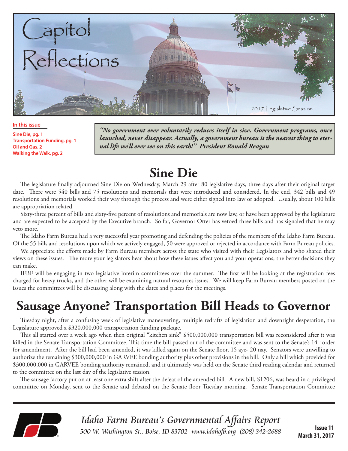

**In this issue**

**Sine Die, pg. 1 Transportation Funding, pg. 1 Oil and Gas. 2 Walking the Walk, pg. 2**

*"No government ever voluntarily reduces itself in size. Government programs, once launched, never disappear. Actually, a government bureau is the nearest thing to eternal life we'll ever see on this earth!" President Ronald Reagan*

## **Sine Die**

The legislature finally adjourned Sine Die on Wednesday, March 29 after 80 legislative days, three days after their original target date. There were 540 bills and 75 resolutions and memorials that were introduced and considered. In the end, 342 bills and 49 resolutions and memorials worked their way through the process and were either signed into law or adopted. Usually, about 100 bills are appropriation related.

Sixty-three percent of bills and sixty-five percent of resolutions and memorials are now law, or have been approved by the legislature and are expected to be accepted by the Executive branch. So far, Governor Otter has vetoed three bills and has signaled that he may veto more.

The Idaho Farm Bureau had a very successful year promoting and defending the policies of the members of the Idaho Farm Bureau. Of the 55 bills and resolutions upon which we actively engaged, 50 were approved or rejected in accordance with Farm Bureau policies.

We appreciate the efforts made by Farm Bureau members across the state who visited with their Legislators and who shared their views on these issues. The more your legislators hear about how these issues affect you and your operations, the better decisions they can make.

IFBF will be engaging in two legislative interim committees over the summer. The first will be looking at the registration fees charged for heavy trucks, and the other will be examining natural resources issues. We will keep Farm Bureau members posted on the issues the committees will be discussing along with the dates and places for the meetings.

# **Sausage Anyone? Transportation Bill Heads to Governor**

Tuesday night, after a confusing week of legislative maneuvering, multiple redrafts of legislation and downright desperation, the Legislature approved a \$320,000,000 transportation funding package.

This all started over a week ago when then original "kitchen sink" \$500,000,000 transportation bill was reconsidered after it was killed in the Senate Transportation Committee. This time the bill passed out of the committee and was sent to the Senate's 14<sup>th</sup> order for amendment. After the bill had been amended, it was killed again on the Senate floor, 15 aye- 20 nay. Senators were unwilling to authorize the remaining \$300,000,000 in GARVEE bonding authority plus other provisions in the bill. Only a bill which provided for \$300,000,000 in GARVEE bonding authority remained, and it ultimately was held on the Senate third reading calendar and returned to the committee on the last day of the legislative session.

The sausage factory put on at least one extra shift after the defeat of the amended bill. A new bill, S1206, was heard in a privileged committee on Monday, sent to the Senate and debated on the Senate floor Tuesday morning. Senate Transportation Committee



Idaho Farm Bureau's Governmental Affairs Report 500 W. Washington St., Boise, ID 83702 www.idahofb.org (208) 342-2688

**Issue 11 March 31, 2017**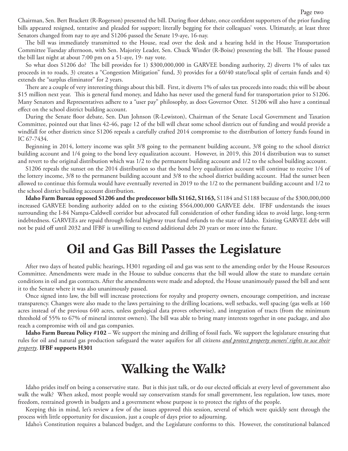Chairman, Sen. Bert Brackett (R-Rogerson) presented the bill. During floor debate, once confident supporters of the prior funding bills appeared resigned, tentative and pleaded for support; literally begging for their colleagues' votes. Ultimately, at least three Senators changed from nay to aye and S1206 passed the Senate 19-aye, 16-nay.

The bill was immediately transmitted to the House, read over the desk and a hearing held in the House Transportation Committee Tuesday afternoon, with Sen. Majority Leader, Sen. Chuck Winder (R-Boise) presenting the bill. The House passed the bill last night at about 7:00 pm on a 51-aye, 19- nay vote.

So what does S1206 do? The bill provides for 1) \$300,000,000 in GARVEE bonding authority, 2) diverts 1% of sales tax proceeds in to roads, 3) creates a "Congestion Mitigation" fund, 3) provides for a 60/40 state/local split of certain funds and 4) extends the "surplus eliminator" for 2 years.

There are a couple of very interesting things about this bill. First, it diverts 1% of sales tax proceeds into roads; this will be about \$15 million next year. This is general fund money, and Idaho has never used the general fund for transportation prior to S1206. Many Senators and Representatives adhere to a "user pay" philosophy, as does Governor Otter. S1206 will also have a continual effect on the school district building account.

During the Senate floor debate, Sen. Dan Johnson (R-Lewiston), Chairman of the Senate Local Government and Taxation Committee, pointed out that lines 42-46, page 12 of the bill will cheat some school districts out of funding and would provide a windfall for other districts since S1206 repeals a carefully crafted 2014 compromise to the distribution of lottery funds found in IC 67-7434.

Beginning in 2014, lottery income was split 3/8 going to the permanent building account, 3/8 going to the school district building account and 1/4 going to the bond levy equalization account. However, in 2019, this 2014 distribution was to sunset and revert to the original distribution which was 1/2 to the permanent building account and 1/2 to the school building account.

S1206 repeals the sunset on the 2014 distribution so that the bond levy equalization account will continue to receive 1/4 of the lottery income, 3/8 to the permanent building account and 3/8 to the school district building account. Had the sunset been allowed to continue this formula would have eventually reverted in 2019 to the 1/2 to the permanent building account and 1/2 to the school district building account distribution.

**Idaho Farm Bureau opposed S1206 and the predecessor bills S1162, S1163,** S1184 and S1188 because of the \$300,000,000 increased GARVEE bonding authority added on to the existing \$564,000,000 GARVEE debt. IFBF understands the issues surrounding the I-84 Nampa-Caldwell corridor but advocated full consideration of other funding ideas to avoid large, long-term indebtedness. GARVEEs are repaid through federal highway trust fund refunds to the state of Idaho. Existing GARVEE debt will not be paid off until 2032 and IFBF is unwilling to extend additional debt 20 years or more into the future.

## **Oil and Gas Bill Passes the Legislature**

After two days of heated public hearings, H301 regarding oil and gas was sent to the amending order by the House Resources Committee. Amendments were made in the House to subdue concerns that the bill would allow the state to mandate certain conditions in oil and gas contracts. After the amendments were made and adopted, the House unanimously passed the bill and sent it to the Senate where it was also unanimously passed.

Once signed into law, the bill will increase protections for royalty and property owners, encourage competition, and increase transparency. Changes were also made to the laws pertaining to the drilling locations, well setbacks, well spacing (gas wells at 160 acres instead of the previous 640 acres, unless geological data proves otherwise), and integration of tracts (from the minimum threshold of 55% to 67% of mineral interest owners). The bill was able to bring many interests together in one package, and also reach a compromise with oil and gas companies.

**Idaho Farm Bureau Policy #102** – We support the mining and drilling of fossil fuels. We support the legislature ensuring that rules for oil and natural gas production safeguard the water aquifers for all citizens *and protect property owners' rights to use their property*. **IFBF supports H301**

### **Walking the Walk?**

Idaho prides itself on being a conservative state. But is this just talk, or do our elected officials at every level of government also walk the walk? When asked, most people would say conservatism stands for small government, less regulation, low taxes, more freedom, restrained growth in budgets and a government whose purpose is to protect the rights of the people.

Keeping this in mind, let's review a few of the issues approved this session, several of which were quickly sent through the process with little opportunity for discussion, just a couple of days prior to adjourning.

Idaho's Constitution requires a balanced budget, and the Legislature conforms to this. However, the constitutional balanced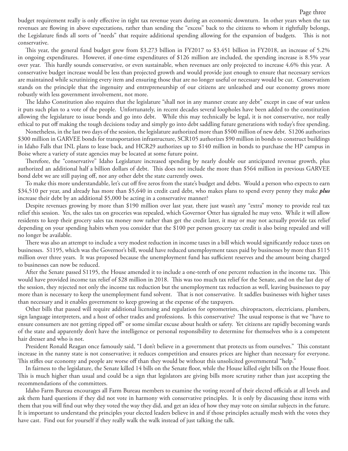budget requirement really is only effective in tight tax revenue years during an economic downturn. In other years when the tax revenues are flowing in above expectations, rather than sending the "excess" back to the citizens to whom it rightfully belongs, the Legislature finds all sorts of "needs" that require additional spending allowing for the expansion of budgets. This is not conservative.

This year, the general fund budget grew from \$3.273 billion in FY2017 to \$3.451 billion in FY2018, an increase of 5.2% in ongoing expenditures. However, if one-time expenditures of \$126 million are included, the spending increase is 8.5% year over year. This hardly sounds conservative, or even sustainable, when revenues are only projected to increase 4.6% this year. A conservative budget increase would be less than projected growth and would provide just enough to ensure that necessary services are maintained while scrutinizing every item and ensuring those that are no longer useful or necessary would be cut. Conservatism stands on the principle that the ingenuity and entrepreneurship of our citizens are unleashed and our economy grows more robustly with less government involvement, not more.

The Idaho Constitution also requires that the legislature "shall not in any manner create any debt" except in case of war unless it puts such plan to a vote of the people. Unfortunately, in recent decades several loopholes have been added to the constitution allowing the legislature to issue bonds and go into debt. While this may technically be legal, it is not conservative, nor really ethical to put off making the tough decisions today and simply go into debt saddling future generations with today's free spending.

Nonetheless, in the last two days of the session, the legislature authorized more than \$500 million of new debt. S1206 authorizes \$300 million in GARVEE bonds for transportation infrastructure, SCR105 authorizes \$90 million in bonds to construct buildings in Idaho Falls that INL plans to lease back, and HCR29 authorizes up to \$140 million in bonds to purchase the HP campus in Boise where a variety of state agencies may be located at some future point.

Therefore, the "conservative" Idaho Legislature increased spending by nearly double our anticipated revenue growth, plus authorized an additional half a billion dollars of debt. This does not include the more than \$564 million in previous GARVEE bond debt we are still paying off, nor any other debt the state currently owes.

To make this more understandable, let's cut off five zeros from the state's budget and debts. Would a person who expects to earn \$34,510 per year, and already has more than \$5,640 in credit card debt, who makes plans to spend every penny they make *plus* increase their debt by an additional \$5,000 be acting in a conservative manner?

Despite revenues growing by more than \$190 million over last year, there just wasn't any "extra" money to provide real tax relief this session. Yes, the sales tax on groceries was repealed, which Governor Otter has signaled he may veto. While it will allow residents to keep their grocery sales tax money now rather than get the credit later, it may or may not actually provide tax relief depending on your spending habits when you consider that the \$100 per person grocery tax credit is also being repealed and will no longer be available.

There was also an attempt to include a very modest reduction in income taxes in a bill which would significantly reduce taxes on businesses. S1195, which was the Governor's bill, would have reduced unemployment taxes paid by businesses by more than \$115 million over three years. It was proposed because the unemployment fund has sufficient reserves and the amount being charged to businesses can now be reduced.

After the Senate passed S1195, the House amended it to include a one-tenth of one percent reduction in the income tax. This would have provided income tax relief of \$28 million in 2018. This was too much tax relief for the Senate, and on the last day of the session, they rejected not only the income tax reduction but the unemployment tax reduction as well, leaving businesses to pay more than is necessary to keep the unemployment fund solvent. That is not conservative. It saddles businesses with higher taxes than necessary and it enables government to keep growing at the expense of the taxpayers.

Other bills that passed will require additional licensing and regulation for optometrists, chiropractors, electricians, plumbers, sign language interpreters, and a host of other trades and professions. Is this conservative? The usual response is that we "have to ensure consumers are not getting ripped off" or some similar excuse about health or safety. Yet citizens are rapidly becoming wards of the state and apparently don't have the intelligence or personal responsibility to determine for themselves who is a competent hair dresser and who is not.

President Ronald Reagan once famously said, "I don't believe in a government that protects us from ourselves." This constant increase in the nanny state is not conservative; it reduces competition and ensures prices are higher than necessary for everyone. This stifles our economy and people are worse off than they would be without this unsolicited governmental "help."

In fairness to the legislature, the Senate killed 14 bills on the Senate floor, while the House killed eight bills on the House floor. This is much higher than usual and could be a sign that legislators are giving bills more scrutiny rather than just accepting the recommendations of the committees.

Idaho Farm Bureau encourages all Farm Bureau members to examine the voting record of their elected officials at all levels and ask them hard questions if they did not vote in harmony with conservative principles. It is only by discussing these items with them that you will find out why they voted the way they did, and get an idea of how they may vote on similar subjects in the future. It is important to understand the principles your elected leaders believe in and if those principles actually mesh with the votes they have cast. Find out for yourself if they really walk the walk instead of just talking the talk.